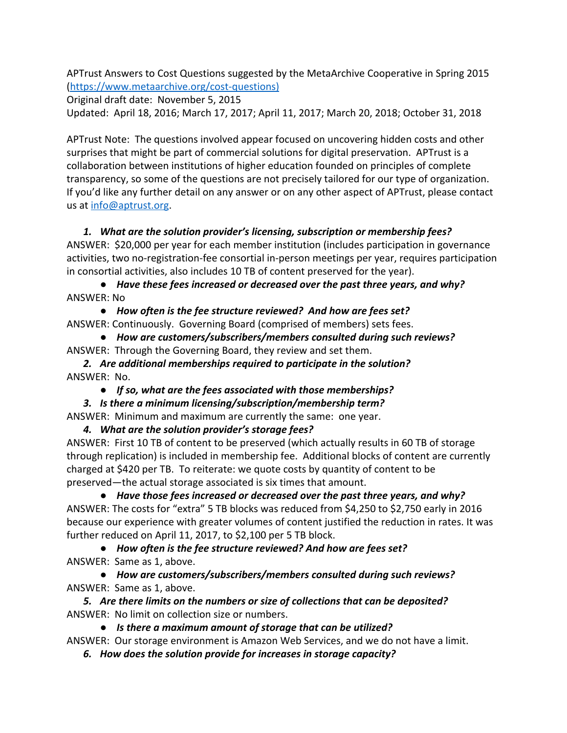APTrust Answers to Cost Questions suggested by the MetaArchive Cooperative in Spring 2015 ([https://www.metaarchive.org/cost-questions\)](https://metaarchive.org/wp-content/uploads/2017/03/ma_20costquestions.pdf)

Original draft date: November 5, 2015

Updated: April 18, 2016; March 17, 2017; April 11, 2017; March 20, 2018; October 31, 2018

APTrust Note: The questions involved appear focused on uncovering hidden costs and other surprises that might be part of commercial solutions for digital preservation. APTrust is a collaboration between institutions of higher education founded on principles of complete transparency, so some of the questions are not precisely tailored for our type of organization. If you'd like any further detail on any answer or on any other aspect of APTrust, please contact us at [info@aptrust.org](mailto:info@aptrust.org).

### *1. What are the solution provider's licensing, subscription or membership fees?*

ANSWER: \$20,000 per year for each member institution (includes participation in governance activities, two no-registration-fee consortial in-person meetings per year, requires participation in consortial activities, also includes 10 TB of content preserved for the year).

*● Have these fees increased or decreased over the past three years, and why?* ANSWER: No

*● How often is the fee structure reviewed? And how are fees set?* ANSWER: Continuously. Governing Board (comprised of members) sets fees.

*● How are customers/subscribers/members consulted during such reviews?* ANSWER: Through the Governing Board, they review and set them.

*2. Are additional memberships required to participate in the solution?* ANSWER: No.

*● If so, what are the fees associated with those memberships?*

#### *3. Is there a minimum licensing/subscription/membership term?*

ANSWER: Minimum and maximum are currently the same: one year.

*4. What are the solution provider's storage fees?*

ANSWER: First 10 TB of content to be preserved (which actually results in 60 TB of storage through replication) is included in membership fee. Additional blocks of content are currently charged at \$420 per TB. To reiterate: we quote costs by quantity of content to be preserved—the actual storage associated is six times that amount.

*● Have those fees increased or decreased over the past three years, and why?* ANSWER: The costs for "extra" 5 TB blocks was reduced from \$4,250 to \$2,750 early in 2016 because our experience with greater volumes of content justified the reduction in rates. It was further reduced on April 11, 2017, to \$2,100 per 5 TB block.

*● How often is the fee structure reviewed? And how are fees set?*

ANSWER: Same as 1, above.

*● How are customers/subscribers/members consulted during such reviews?* ANSWER: Same as 1, above.

*5. Are there limits on the numbers or size of collections that can be deposited?* ANSWER: No limit on collection size or numbers.

*● Is there a maximum amount of storage that can be utilized?*

ANSWER: Our storage environment is Amazon Web Services, and we do not have a limit.

*6. How does the solution provide for increases in storage capacity?*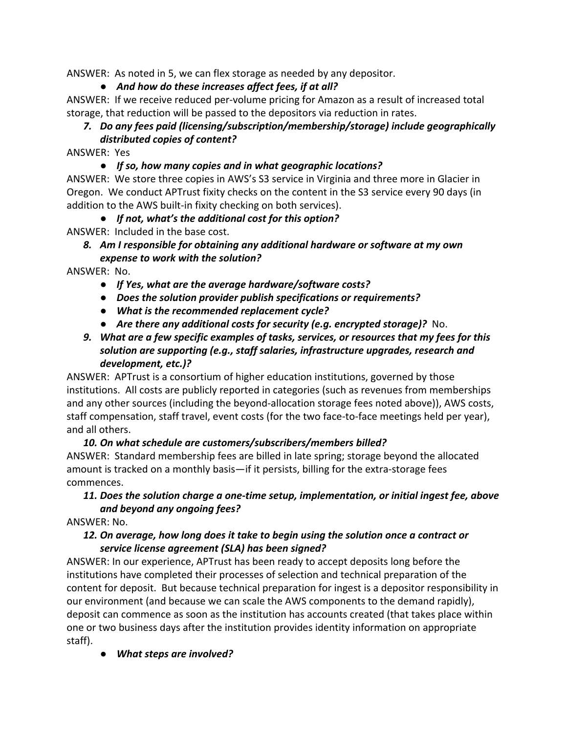ANSWER: As noted in 5, we can flex storage as needed by any depositor.

# *● And how do these increases affect fees, if at all?*

ANSWER: If we receive reduced per-volume pricing for Amazon as a result of increased total storage, that reduction will be passed to the depositors via reduction in rates.

# *7. Do any fees paid (licensing/subscription/membership/storage) include geographically distributed copies of content?*

ANSWER: Yes

### *● If so, how many copies and in what geographic locations?*

ANSWER: We store three copies in AWS's S3 service in Virginia and three more in Glacier in Oregon. We conduct APTrust fixity checks on the content in the S3 service every 90 days (in addition to the AWS built-in fixity checking on both services).

### *● If not, what's the additional cost for this option?*

ANSWER: Included in the base cost.

#### *8. Am I responsible for obtaining any additional hardware or software at my own expense to work with the solution?*

ANSWER: No.

- *● If Yes, what are the average hardware/software costs?*
- *● Does the solution provider publish specifications or requirements?*
- *● What is the recommended replacement cycle?*
- *● Are there any additional costs for security (e.g. encrypted storage)?* No.

### *9. What are a few specific examples of tasks, services, or resources that my fees for this solution are supporting (e.g., staff salaries, infrastructure upgrades, research and development, etc.)?*

ANSWER: APTrust is a consortium of higher education institutions, governed by those institutions. All costs are publicly reported in categories (such as revenues from memberships and any other sources (including the beyond-allocation storage fees noted above)), AWS costs, staff compensation, staff travel, event costs (for the two face-to-face meetings held per year), and all others.

## *10. On what schedule are customers/subscribers/members billed?*

ANSWER: Standard membership fees are billed in late spring; storage beyond the allocated amount is tracked on a monthly basis—if it persists, billing for the extra-storage fees commences.

## *11. Does the solution charge a one-time setup, implementation, or initial ingest fee, above and beyond any ongoing fees?*

ANSWER: No.

### *12. On average, how long does it take to begin using the solution once a contract or service license agreement (SLA) has been signed?*

ANSWER: In our experience, APTrust has been ready to accept deposits long before the institutions have completed their processes of selection and technical preparation of the content for deposit. But because technical preparation for ingest is a depositor responsibility in our environment (and because we can scale the AWS components to the demand rapidly), deposit can commence as soon as the institution has accounts created (that takes place within one or two business days after the institution provides identity information on appropriate staff).

*● What steps are involved?*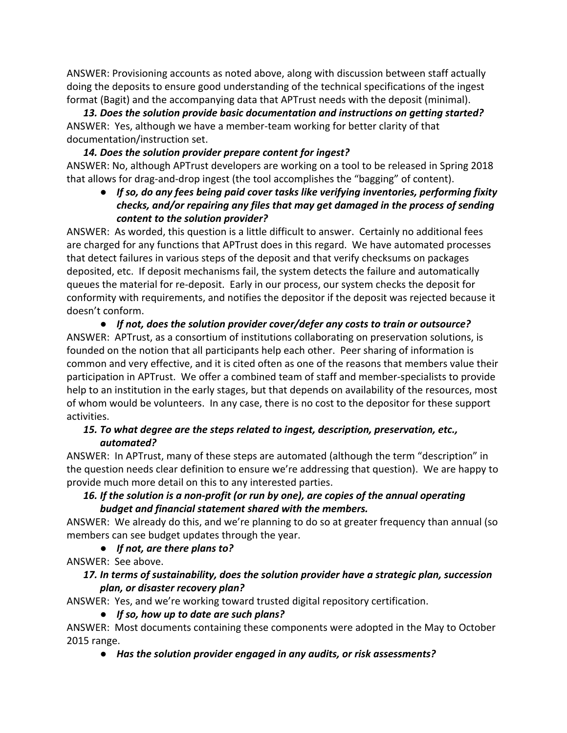ANSWER: Provisioning accounts as noted above, along with discussion between staff actually doing the deposits to ensure good understanding of the technical specifications of the ingest format (Bagit) and the accompanying data that APTrust needs with the deposit (minimal).

*13. Does the solution provide basic documentation and instructions on getting started?* ANSWER: Yes, although we have a member-team working for better clarity of that documentation/instruction set.

### *14. Does the solution provider prepare content for ingest?*

ANSWER: No, although APTrust developers are working on a tool to be released in Spring 2018 that allows for drag-and-drop ingest (the tool accomplishes the "bagging" of content).

*● If so, do any fees being paid cover tasks like verifying inventories, performing fixity checks, and/or repairing any files that may get damaged in the process of sending content to the solution provider?*

ANSWER: As worded, this question is a little difficult to answer. Certainly no additional fees are charged for any functions that APTrust does in this regard. We have automated processes that detect failures in various steps of the deposit and that verify checksums on packages deposited, etc. If deposit mechanisms fail, the system detects the failure and automatically queues the material for re-deposit. Early in our process, our system checks the deposit for conformity with requirements, and notifies the depositor if the deposit was rejected because it doesn't conform.

*● If not, does the solution provider cover/defer any costs to train or outsource?* ANSWER: APTrust, as a consortium of institutions collaborating on preservation solutions, is founded on the notion that all participants help each other. Peer sharing of information is common and very effective, and it is cited often as one of the reasons that members value their participation in APTrust. We offer a combined team of staff and member-specialists to provide help to an institution in the early stages, but that depends on availability of the resources, most of whom would be volunteers. In any case, there is no cost to the depositor for these support activities.

### *15. To what degree are the steps related to ingest, description, preservation, etc., automated?*

ANSWER: In APTrust, many of these steps are automated (although the term "description" in the question needs clear definition to ensure we're addressing that question). We are happy to provide much more detail on this to any interested parties.

## *16. If the solution is a non-profit (or run by one), are copies of the annual operating budget and financial statement shared with the members.*

ANSWER: We already do this, and we're planning to do so at greater frequency than annual (so members can see budget updates through the year.

## *● If not, are there plans to?*

ANSWER: See above.

### *17. In terms of sustainability, does the solution provider have a strategic plan, succession plan, or disaster recovery plan?*

ANSWER: Yes, and we're working toward trusted digital repository certification.

## *● If so, how up to date are such plans?*

ANSWER: Most documents containing these components were adopted in the May to October 2015 range.

## *● Has the solution provider engaged in any audits, or risk assessments?*